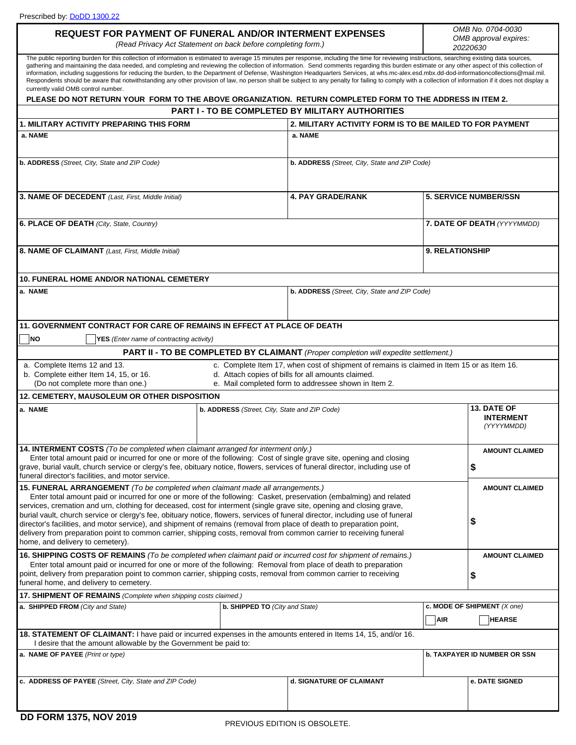## **REQUEST FOR PAYMENT OF FUNERAL AND/OR INTERMENT EXPENSES**

*(Read Privacy Act Statement on back before completing form.)*

*OMB No. 0704-0030 OMB approval expires: 20220630* 

| The public reporting burden for this collection of information is estimated to average 15 minutes per response, including the time for reviewing instructions, searching existing data sources,<br>gathering and maintaining the data needed, and completing and reviewing the collection of information. Send comments regarding this burden estimate or any other aspect of this collection of<br>information, including suggestions for reducing the burden, to the Department of Defense, Washington Headquarters Services, at whs.mc-alex.esd.mbx.dd-dod-informationcollections@mail.mil.<br>Respondents should be aware that notwithstanding any other provision of law, no person shall be subject to any penalty for failing to comply with a collection of information if it does not display a<br>currently valid OMB control number.<br>PLEASE DO NOT RETURN YOUR FORM TO THE ABOVE ORGANIZATION. RETURN COMPLETED FORM TO THE ADDRESS IN ITEM 2. |  |                                                                      |                              |                                                      |  |
|--------------------------------------------------------------------------------------------------------------------------------------------------------------------------------------------------------------------------------------------------------------------------------------------------------------------------------------------------------------------------------------------------------------------------------------------------------------------------------------------------------------------------------------------------------------------------------------------------------------------------------------------------------------------------------------------------------------------------------------------------------------------------------------------------------------------------------------------------------------------------------------------------------------------------------------------------------------|--|----------------------------------------------------------------------|------------------------------|------------------------------------------------------|--|
|                                                                                                                                                                                                                                                                                                                                                                                                                                                                                                                                                                                                                                                                                                                                                                                                                                                                                                                                                              |  | PART I - TO BE COMPLETED BY MILITARY AUTHORITIES                     |                              |                                                      |  |
| <b>1. MILITARY ACTIVITY PREPARING THIS FORM</b>                                                                                                                                                                                                                                                                                                                                                                                                                                                                                                                                                                                                                                                                                                                                                                                                                                                                                                              |  | 2. MILITARY ACTIVITY FORM IS TO BE MAILED TO FOR PAYMENT             |                              |                                                      |  |
| a. NAME                                                                                                                                                                                                                                                                                                                                                                                                                                                                                                                                                                                                                                                                                                                                                                                                                                                                                                                                                      |  | a. NAME                                                              |                              |                                                      |  |
| b. ADDRESS (Street, City, State and ZIP Code)<br>b. ADDRESS (Street, City, State and ZIP Code)                                                                                                                                                                                                                                                                                                                                                                                                                                                                                                                                                                                                                                                                                                                                                                                                                                                               |  |                                                                      |                              |                                                      |  |
| 3. NAME OF DECEDENT (Last, First, Middle Initial)                                                                                                                                                                                                                                                                                                                                                                                                                                                                                                                                                                                                                                                                                                                                                                                                                                                                                                            |  | <b>4. PAY GRADE/RANK</b>                                             | <b>5. SERVICE NUMBER/SSN</b> |                                                      |  |
| 6. PLACE OF DEATH (City, State, Country)                                                                                                                                                                                                                                                                                                                                                                                                                                                                                                                                                                                                                                                                                                                                                                                                                                                                                                                     |  |                                                                      |                              | 7. DATE OF DEATH (YYYYMMDD)                          |  |
| 8. NAME OF CLAIMANT (Last, First, Middle Initial)<br>9. RELATIONSHIP                                                                                                                                                                                                                                                                                                                                                                                                                                                                                                                                                                                                                                                                                                                                                                                                                                                                                         |  |                                                                      |                              |                                                      |  |
| <b>10. FUNERAL HOME AND/OR NATIONAL CEMETERY</b>                                                                                                                                                                                                                                                                                                                                                                                                                                                                                                                                                                                                                                                                                                                                                                                                                                                                                                             |  |                                                                      |                              |                                                      |  |
| a. NAME                                                                                                                                                                                                                                                                                                                                                                                                                                                                                                                                                                                                                                                                                                                                                                                                                                                                                                                                                      |  | <b>b. ADDRESS</b> (Street, City, State and ZIP Code)                 |                              |                                                      |  |
| 11. GOVERNMENT CONTRACT FOR CARE OF REMAINS IN EFFECT AT PLACE OF DEATH<br> NO<br><b>YES</b> (Enter name of contracting activity)                                                                                                                                                                                                                                                                                                                                                                                                                                                                                                                                                                                                                                                                                                                                                                                                                            |  |                                                                      |                              |                                                      |  |
| PART II - TO BE COMPLETED BY CLAIMANT (Proper completion will expedite settlement.)                                                                                                                                                                                                                                                                                                                                                                                                                                                                                                                                                                                                                                                                                                                                                                                                                                                                          |  |                                                                      |                              |                                                      |  |
| c. Complete Item 17, when cost of shipment of remains is claimed in Item 15 or as Item 16.<br>a. Complete Items 12 and 13.<br>d. Attach copies of bills for all amounts claimed.<br>b. Complete either Item 14, 15, or 16.<br>(Do not complete more than one.)<br>e. Mail completed form to addressee shown in Item 2.                                                                                                                                                                                                                                                                                                                                                                                                                                                                                                                                                                                                                                       |  |                                                                      |                              |                                                      |  |
| 12. CEMETERY, MAUSOLEUM OR OTHER DISPOSITION                                                                                                                                                                                                                                                                                                                                                                                                                                                                                                                                                                                                                                                                                                                                                                                                                                                                                                                 |  |                                                                      |                              |                                                      |  |
| b. ADDRESS (Street, City, State and ZIP Code)<br>a. NAME                                                                                                                                                                                                                                                                                                                                                                                                                                                                                                                                                                                                                                                                                                                                                                                                                                                                                                     |  |                                                                      |                              | <b>13. DATE OF</b><br><b>INTERMENT</b><br>(YYYYMMDD) |  |
| 14. INTERMENT COSTS (To be completed when claimant arranged for interment only.)<br>Enter total amount paid or incurred for one or more of the following: Cost of single grave site, opening and closing<br>grave, burial vault, church service or clergy's fee, obituary notice, flowers, services of funeral director, including use of<br>funeral director's facilities, and motor service.                                                                                                                                                                                                                                                                                                                                                                                                                                                                                                                                                               |  |                                                                      |                              | <b>AMOUNT CLAIMED</b><br>\$                          |  |
| 15. FUNERAL ARRANGEMENT (To be completed when claimant made all arrangements.)<br>Enter total amount paid or incurred for one or more of the following: Casket, preservation (embalming) and related<br>services, cremation and urn, clothing for deceased, cost for interment (single grave site, opening and closing grave,<br>burial vault, church service or clergy's fee, obituary notice, flowers, services of funeral director, including use of funeral<br>director's facilities, and motor service), and shipment of remains (removal from place of death to preparation point,<br>delivery from preparation point to common carrier, shipping costs, removal from common carrier to receiving funeral<br>home, and delivery to cemetery).                                                                                                                                                                                                          |  |                                                                      |                              | <b>AMOUNT CLAIMED</b><br>\$                          |  |
| 16. SHIPPING COSTS OF REMAINS (To be completed when claimant paid or incurred cost for shipment of remains.)<br>Enter total amount paid or incurred for one or more of the following: Removal from place of death to preparation<br>point, delivery from preparation point to common carrier, shipping costs, removal from common carrier to receiving<br>funeral home, and delivery to cemetery.                                                                                                                                                                                                                                                                                                                                                                                                                                                                                                                                                            |  |                                                                      |                              | <b>AMOUNT CLAIMED</b><br>\$                          |  |
| 17. SHIPMENT OF REMAINS (Complete when shipping costs claimed.)                                                                                                                                                                                                                                                                                                                                                                                                                                                                                                                                                                                                                                                                                                                                                                                                                                                                                              |  |                                                                      |                              |                                                      |  |
| b. SHIPPED TO (City and State)<br>a. SHIPPED FROM (City and State)                                                                                                                                                                                                                                                                                                                                                                                                                                                                                                                                                                                                                                                                                                                                                                                                                                                                                           |  | c. MODE OF SHIPMENT $(X \text{ one})$<br><b>AIR</b><br><b>HEARSE</b> |                              |                                                      |  |
| 18. STATEMENT OF CLAIMANT: I have paid or incurred expenses in the amounts entered in Items 14, 15, and/or 16.<br>I desire that the amount allowable by the Government be paid to:                                                                                                                                                                                                                                                                                                                                                                                                                                                                                                                                                                                                                                                                                                                                                                           |  |                                                                      |                              |                                                      |  |
| a. NAME OF PAYEE (Print or type)                                                                                                                                                                                                                                                                                                                                                                                                                                                                                                                                                                                                                                                                                                                                                                                                                                                                                                                             |  |                                                                      |                              | <b>b. TAXPAYER ID NUMBER OR SSN</b>                  |  |
| c. ADDRESS OF PAYEE (Street, City, State and ZIP Code)<br>DD EQDM 4975 NOV 2040                                                                                                                                                                                                                                                                                                                                                                                                                                                                                                                                                                                                                                                                                                                                                                                                                                                                              |  | d. SIGNATURE OF CLAIMANT                                             |                              | e. DATE SIGNED                                       |  |